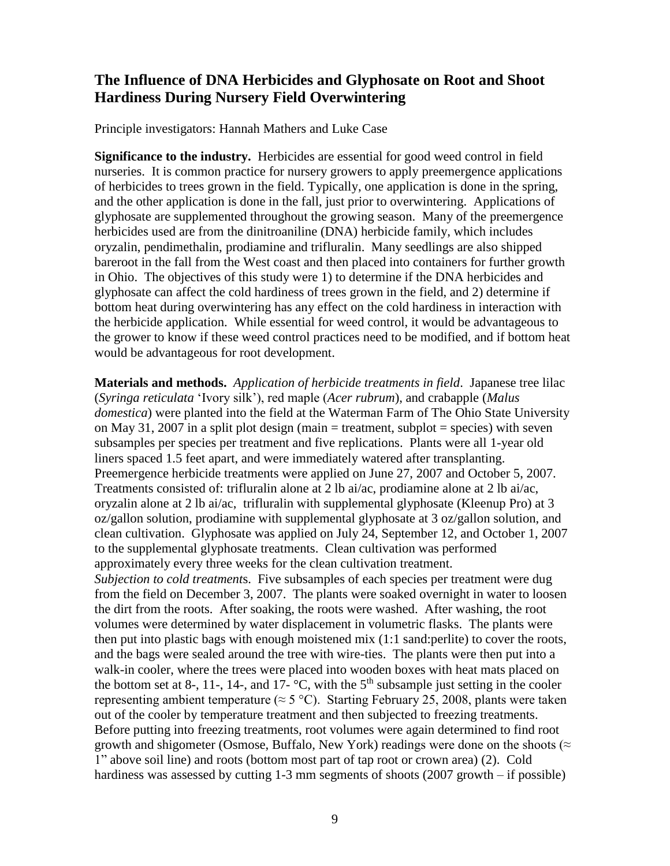## **The Influence of DNA Herbicides and Glyphosate on Root and Shoot Hardiness During Nursery Field Overwintering**

Principle investigators: Hannah Mathers and Luke Case

**Significance to the industry.** Herbicides are essential for good weed control in field nurseries. It is common practice for nursery growers to apply preemergence applications of herbicides to trees grown in the field. Typically, one application is done in the spring, and the other application is done in the fall, just prior to overwintering. Applications of glyphosate are supplemented throughout the growing season. Many of the preemergence herbicides used are from the dinitroaniline (DNA) herbicide family, which includes oryzalin, pendimethalin, prodiamine and trifluralin. Many seedlings are also shipped bareroot in the fall from the West coast and then placed into containers for further growth in Ohio. The objectives of this study were 1) to determine if the DNA herbicides and glyphosate can affect the cold hardiness of trees grown in the field, and 2) determine if bottom heat during overwintering has any effect on the cold hardiness in interaction with the herbicide application. While essential for weed control, it would be advantageous to the grower to know if these weed control practices need to be modified, and if bottom heat would be advantageous for root development.

**Materials and methods.** *Application of herbicide treatments in field*. Japanese tree lilac (*Syringa reticulata* 'Ivory silk'), red maple (*Acer rubrum*), and crabapple (*Malus domestica*) were planted into the field at the Waterman Farm of The Ohio State University on May 31, 2007 in a split plot design (main  $=$  treatment, subplot  $=$  species) with seven subsamples per species per treatment and five replications. Plants were all 1-year old liners spaced 1.5 feet apart, and were immediately watered after transplanting. Preemergence herbicide treatments were applied on June 27, 2007 and October 5, 2007. Treatments consisted of: trifluralin alone at 2 lb ai/ac, prodiamine alone at 2 lb ai/ac, oryzalin alone at 2 lb ai/ac, trifluralin with supplemental glyphosate (Kleenup Pro) at 3 oz/gallon solution, prodiamine with supplemental glyphosate at 3 oz/gallon solution, and clean cultivation. Glyphosate was applied on July 24, September 12, and October 1, 2007 to the supplemental glyphosate treatments. Clean cultivation was performed approximately every three weeks for the clean cultivation treatment. *Subjection to cold treatment*s. Five subsamples of each species per treatment were dug from the field on December 3, 2007. The plants were soaked overnight in water to loosen the dirt from the roots. After soaking, the roots were washed. After washing, the root volumes were determined by water displacement in volumetric flasks. The plants were then put into plastic bags with enough moistened mix (1:1 sand:perlite) to cover the roots, and the bags were sealed around the tree with wire-ties. The plants were then put into a walk-in cooler, where the trees were placed into wooden boxes with heat mats placed on the bottom set at 8-, 11-, 14-, and 17- $\degree$ C, with the 5<sup>th</sup> subsample just setting in the cooler representing ambient temperature ( $\approx$  5 °C). Starting February 25, 2008, plants were taken out of the cooler by temperature treatment and then subjected to freezing treatments. Before putting into freezing treatments, root volumes were again determined to find root growth and shigometer (Osmose, Buffalo, New York) readings were done on the shoots ( $\approx$ 1" above soil line) and roots (bottom most part of tap root or crown area) (2). Cold hardiness was assessed by cutting 1-3 mm segments of shoots (2007 growth – if possible)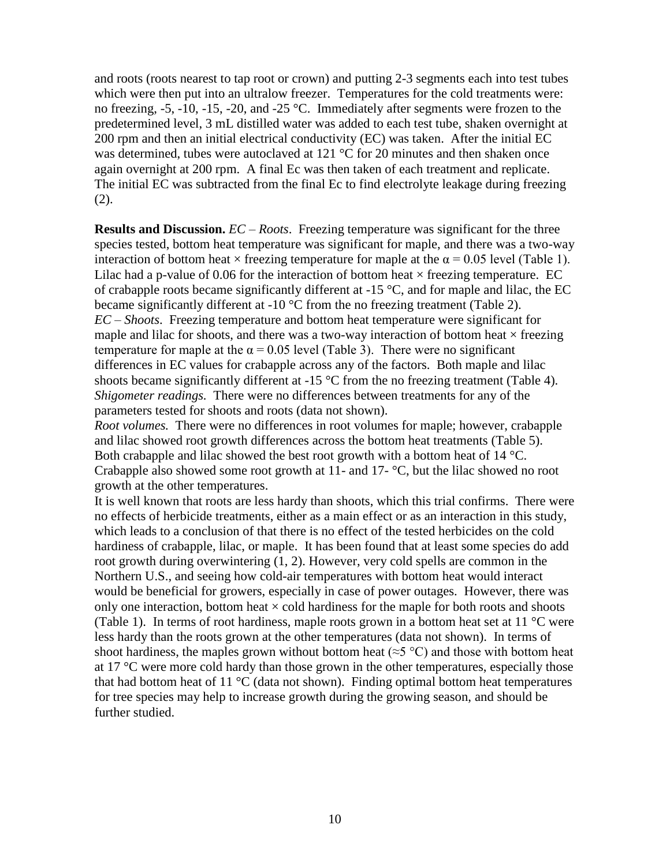and roots (roots nearest to tap root or crown) and putting 2-3 segments each into test tubes which were then put into an ultralow freezer. Temperatures for the cold treatments were: no freezing, -5, -10, -15, -20, and -25 °C. Immediately after segments were frozen to the predetermined level, 3 mL distilled water was added to each test tube, shaken overnight at 200 rpm and then an initial electrical conductivity (EC) was taken. After the initial EC was determined, tubes were autoclaved at 121 °C for 20 minutes and then shaken once again overnight at 200 rpm. A final Ec was then taken of each treatment and replicate. The initial EC was subtracted from the final Ec to find electrolyte leakage during freezing (2).

**Results and Discussion.** *EC – Roots*. Freezing temperature was significant for the three species tested, bottom heat temperature was significant for maple, and there was a two-way interaction of bottom heat  $\times$  freezing temperature for maple at the  $\alpha$  = 0.05 level (Table 1). Lilac had a p-value of 0.06 for the interaction of bottom heat  $\times$  freezing temperature. EC of crabapple roots became significantly different at -15 °C, and for maple and lilac, the EC became significantly different at -10 °C from the no freezing treatment (Table 2). *EC – Shoots*. Freezing temperature and bottom heat temperature were significant for maple and lilac for shoots, and there was a two-way interaction of bottom heat  $\times$  freezing temperature for maple at the  $\alpha$  = 0.05 level (Table 3). There were no significant differences in EC values for crabapple across any of the factors. Both maple and lilac shoots became significantly different at -15 °C from the no freezing treatment (Table 4). *Shigometer readings.* There were no differences between treatments for any of the parameters tested for shoots and roots (data not shown).

*Root volumes.* There were no differences in root volumes for maple; however, crabapple and lilac showed root growth differences across the bottom heat treatments (Table 5). Both crabapple and lilac showed the best root growth with a bottom heat of 14 °C. Crabapple also showed some root growth at 11- and 17- °C, but the lilac showed no root growth at the other temperatures.

It is well known that roots are less hardy than shoots, which this trial confirms. There were no effects of herbicide treatments, either as a main effect or as an interaction in this study, which leads to a conclusion of that there is no effect of the tested herbicides on the cold hardiness of crabapple, lilac, or maple. It has been found that at least some species do add root growth during overwintering (1, 2). However, very cold spells are common in the Northern U.S., and seeing how cold-air temperatures with bottom heat would interact would be beneficial for growers, especially in case of power outages. However, there was only one interaction, bottom heat  $\times$  cold hardiness for the maple for both roots and shoots (Table 1). In terms of root hardiness, maple roots grown in a bottom heat set at 11 °C were less hardy than the roots grown at the other temperatures (data not shown). In terms of shoot hardiness, the maples grown without bottom heat ( $\approx$ 5 °C) and those with bottom heat at 17 °C were more cold hardy than those grown in the other temperatures, especially those that had bottom heat of 11  $^{\circ}$ C (data not shown). Finding optimal bottom heat temperatures for tree species may help to increase growth during the growing season, and should be further studied.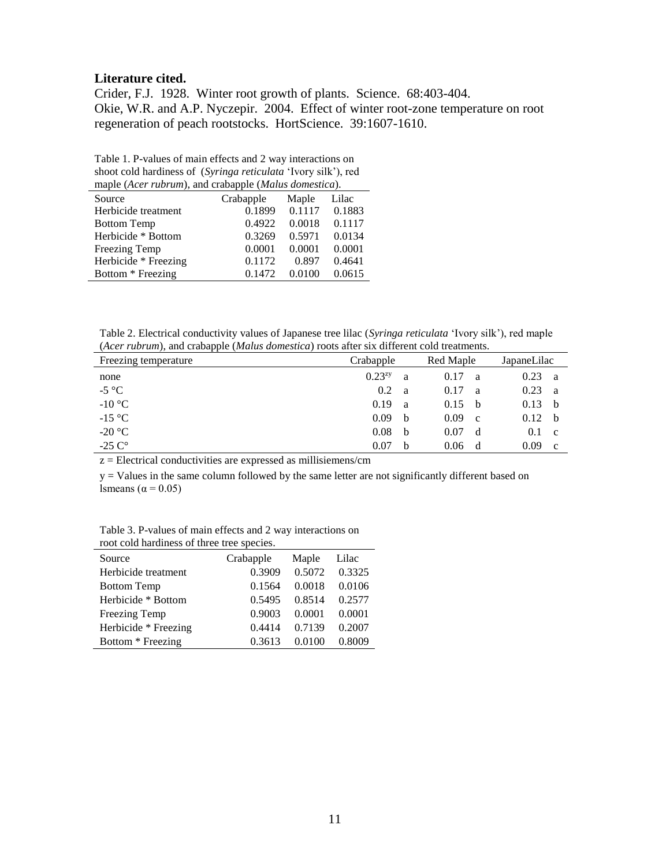## **Literature cited.**

Crider, F.J. 1928. Winter root growth of plants. Science. 68:403-404. Okie, W.R. and A.P. Nyczepir. 2004. Effect of winter root-zone temperature on root regeneration of peach rootstocks. HortScience. 39:1607-1610.

Table 1. P-values of main effects and 2 way interactions on shoot cold hardiness of (*Syringa reticulata* 'Ivory silk'), red maple (*Acer rubrum*), and crabapple (*Malus domestica*).

| $\mu$ and $\mu$ and $\mu$ and $\mu$ and $\mu$ and $\mu$ and $\mu$ and $\mu$ and $\mu$ and $\mu$ |                    |        |        |  |
|-------------------------------------------------------------------------------------------------|--------------------|--------|--------|--|
| Source                                                                                          | Crabapple<br>Maple |        | Lilac  |  |
| Herbicide treatment                                                                             | 0.1899             | 0.1117 | 0.1883 |  |
| <b>Bottom Temp</b>                                                                              | 0.4922             | 0.0018 | 0.1117 |  |
| Herbicide * Bottom                                                                              | 0.3269             | 0.5971 | 0.0134 |  |
| Freezing Temp                                                                                   | 0.0001             | 0.0001 | 0.0001 |  |
| Herbicide * Freezing                                                                            | 0.1172             | 0.897  | 0.4641 |  |
| Bottom * Freezing                                                                               | 0.1472             | 0.0100 | 0.0615 |  |
|                                                                                                 |                    |        |        |  |

Table 2. Electrical conductivity values of Japanese tree lilac (*Syringa reticulata* 'Ivory silk'), red maple (*Acer rubrum*), and crabapple (*Malus domestica*) roots after six different cold treatments.

| Freezing temperature | Crabapple   |   | Red Maple           |  | JapaneLilac |              |
|----------------------|-------------|---|---------------------|--|-------------|--------------|
| none                 | $0.23^{zy}$ | a | 0.17<br>a           |  | 0.23        | a            |
| $-5$ °C              | 0.2         | a | 0.17<br>a           |  | 0.23        | <sub>a</sub> |
| $-10$ °C             | 0.19        | a | 0.15<br>- b         |  | 0.13        | h.           |
| $-15$ °C             | 0.09        | b | 0.09<br>$\mathbf c$ |  | 0.12        | - b          |
| $-20$ °C             | 0.08        | b | 0.07<br>d           |  | 0.1         | <sub>c</sub> |
| -25 $C^\circ$        | 0.07        | b | 0.06<br>d           |  | 0.09        | c.           |

 $z =$  Electrical conductivities are expressed as millisiemens/cm

y = Values in the same column followed by the same letter are not significantly different based on lsmeans ( $\alpha$  = 0.05)

Table 3. P-values of main effects and 2 way interactions on root cold hardiness of three tree species.

| Toot cold hardliness of three free species. |           |        |        |  |
|---------------------------------------------|-----------|--------|--------|--|
| Source                                      | Crabapple | Maple  | Lilac  |  |
| Herbicide treatment                         | 0.3909    | 0.5072 | 0.3325 |  |
| <b>Bottom Temp</b>                          | 0.1564    | 0.0018 | 0.0106 |  |
| Herbicide * Bottom                          | 0.5495    | 0.8514 | 0.2577 |  |
| Freezing Temp                               | 0.9003    | 0.0001 | 0.0001 |  |
| Herbicide * Freezing                        | 0.4414    | 0.7139 | 0.2007 |  |
| Bottom * Freezing                           | 0.3613    | 0.0100 | 0.8009 |  |